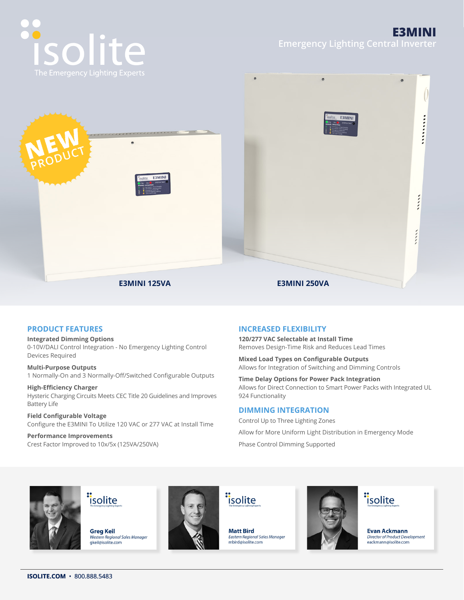



# **PRODUCT FEATURES**

#### **Integrated Dimming Options**

0-10V/DALI Control Integration - No Emergency Lighting Control Devices Required

**Multi-Purpose Outputs** 1 Normally-On and 3 Normally-Off/Switched Configurable Outputs

**High-Efficiency Charger** Hysteric Charging Circuits Meets CEC Title 20 Guidelines and Improves Battery Life

**Field Configurable Voltage** Configure the E3MINI To Utilize 120 VAC or 277 VAC at Install Time

**Performance Improvements** Crest Factor Improved to 10x/5x (125VA/250VA)

# **INCREASED FLEXIBILITY**

**120/277 VAC Selectable at Install Time** Removes Design-Time Risk and Reduces Lead Times

**Mixed Load Types on Configurable Outputs** Allows for Integration of Switching and Dimming Controls

**Time Delay Options for Power Pack Integration** Allows for Direct Connection to Smart Power Packs with Integrated UL 924 Functionality

#### **DIMMING INTEGRATION**

Control Up to Three Lighting Zones Allow for More Uniform Light Distribution in Emergency Mode Phase Control Dimming Supported



"isolite

**Greg Keil** Western Regional Sales Manager gkeil@isolite.com



"isolite

**Matt Bird** Fastern Regional Sales Manager<br>mbird@isolite.com





**Evan Ackmann** Director of Product Development eackmann@isolite.com